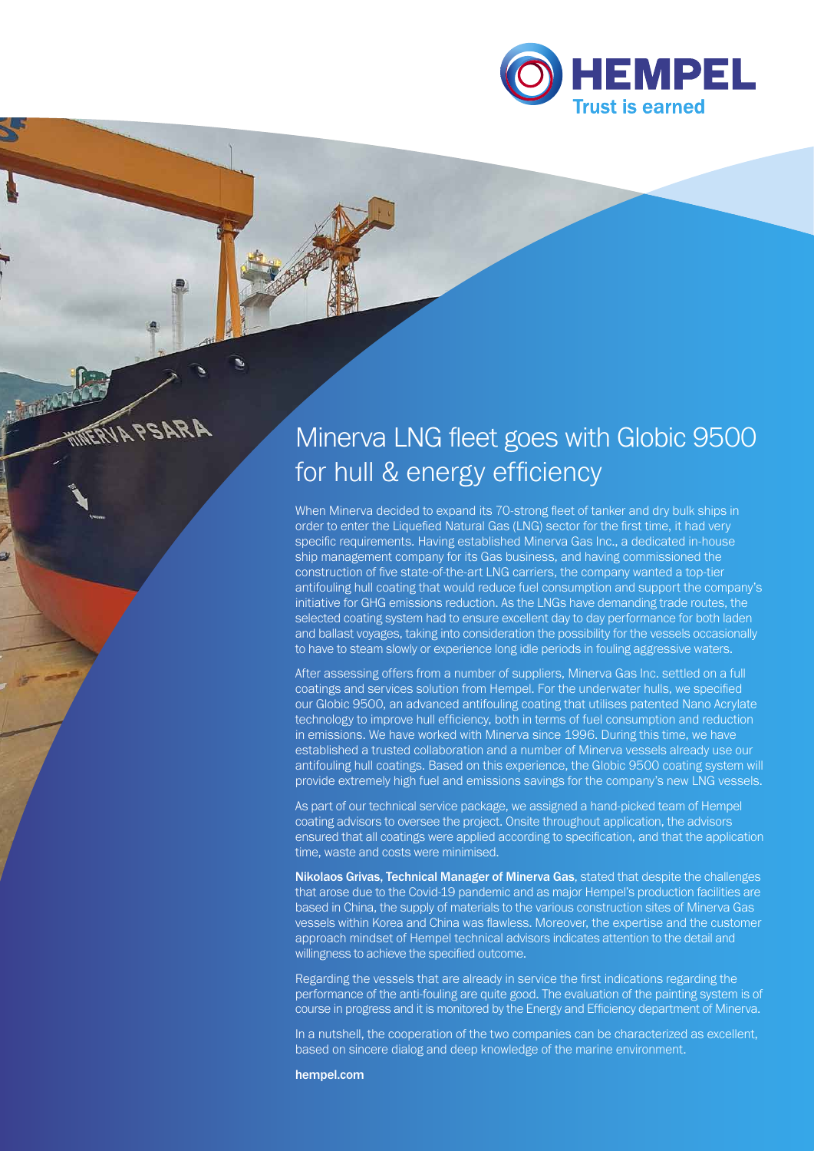

# Minerva LNG fleet goes with Globic 9500 for hull & energy efficiency

When Minerva decided to expand its 70-strong fleet of tanker and dry bulk ships in order to enter the Liquefied Natural Gas (LNG) sector for the first time, it had very specific requirements. Having established Minerva Gas Inc., a dedicated in-house ship management company for its Gas business, and having commissioned the construction of five state-of-the-art LNG carriers, the company wanted a top-tier antifouling hull coating that would reduce fuel consumption and support the company's initiative for GHG emissions reduction. As the LNGs have demanding trade routes, the selected coating system had to ensure excellent day to day performance for both laden and ballast voyages, taking into consideration the possibility for the vessels occasionally to have to steam slowly or experience long idle periods in fouling aggressive waters.

After assessing offers from a number of suppliers, Minerva Gas Inc. settled on a full coatings and services solution from Hempel. For the underwater hulls, we specified our Globic 9500, an advanced antifouling coating that utilises patented Nano Acrylate technology to improve hull efficiency, both in terms of fuel consumption and reduction in emissions. We have worked with Minerva since 1996. During this time, we have established a trusted collaboration and a number of Minerva vessels already use our antifouling hull coatings. Based on this experience, the Globic 9500 coating system will provide extremely high fuel and emissions savings for the company's new LNG vessels.

As part of our technical service package, we assigned a hand-picked team of Hempel coating advisors to oversee the project. Onsite throughout application, the advisors ensured that all coatings were applied according to specification, and that the application time, waste and costs were minimised.

Nikolaos Grivas, Technical Manager of Minerva Gas, stated that despite the challenges that arose due to the Covid-19 pandemic and as major Hempel's production facilities are based in China, the supply of materials to the various construction sites of Minerva Gas vessels within Korea and China was flawless. Moreover, the expertise and the customer approach mindset of Hempel technical advisors indicates attention to the detail and willingness to achieve the specified outcome.

Regarding the vessels that are already in service the first indications regarding the performance of the anti-fouling are quite good. The evaluation of the painting system is of course in progress and it is monitored by the Energy and Efficiency department of Minerva.

In a nutshell, the cooperation of the two companies can be characterized as excellent, based on sincere dialog and deep knowledge of the marine environment.

hempel.com

**FRUA PSARA**